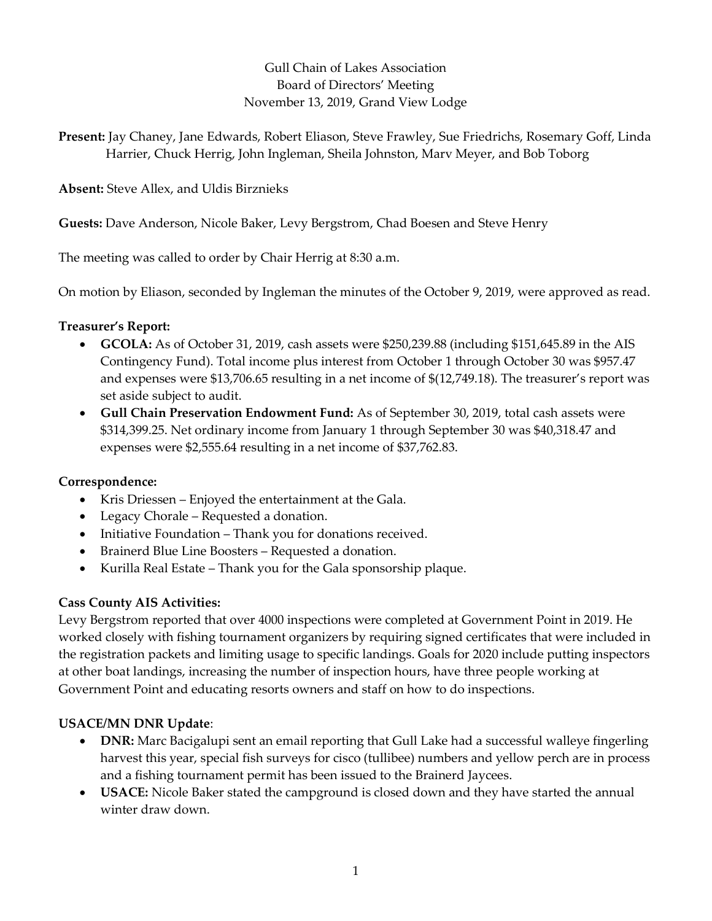# Gull Chain of Lakes Association Board of Directors' Meeting November 13, 2019, Grand View Lodge

Present: Jay Chaney, Jane Edwards, Robert Eliason, Steve Frawley, Sue Friedrichs, Rosemary Goff, Linda Harrier, Chuck Herrig, John Ingleman, Sheila Johnston, Marv Meyer, and Bob Toborg

Absent: Steve Allex, and Uldis Birznieks

Guests: Dave Anderson, Nicole Baker, Levy Bergstrom, Chad Boesen and Steve Henry

The meeting was called to order by Chair Herrig at 8:30 a.m.

On motion by Eliason, seconded by Ingleman the minutes of the October 9, 2019, were approved as read.

# Treasurer's Report:

- GCOLA: As of October 31, 2019, cash assets were \$250,239.88 (including \$151,645.89 in the AIS Contingency Fund). Total income plus interest from October 1 through October 30 was \$957.47 and expenses were \$13,706.65 resulting in a net income of \$(12,749.18). The treasurer's report was set aside subject to audit.
- Gull Chain Preservation Endowment Fund: As of September 30, 2019, total cash assets were \$314,399.25. Net ordinary income from January 1 through September 30 was \$40,318.47 and expenses were \$2,555.64 resulting in a net income of \$37,762.83.

## Correspondence:

- Kris Driessen Enjoyed the entertainment at the Gala.
- Legacy Chorale Requested a donation.
- Initiative Foundation Thank you for donations received.
- Brainerd Blue Line Boosters Requested a donation.
- Kurilla Real Estate Thank you for the Gala sponsorship plaque.

## Cass County AIS Activities:

Levy Bergstrom reported that over 4000 inspections were completed at Government Point in 2019. He worked closely with fishing tournament organizers by requiring signed certificates that were included in the registration packets and limiting usage to specific landings. Goals for 2020 include putting inspectors at other boat landings, increasing the number of inspection hours, have three people working at Government Point and educating resorts owners and staff on how to do inspections.

# USACE/MN DNR Update:

- DNR: Marc Bacigalupi sent an email reporting that Gull Lake had a successful walleye fingerling harvest this year, special fish surveys for cisco (tullibee) numbers and yellow perch are in process and a fishing tournament permit has been issued to the Brainerd Jaycees.
- USACE: Nicole Baker stated the campground is closed down and they have started the annual winter draw down.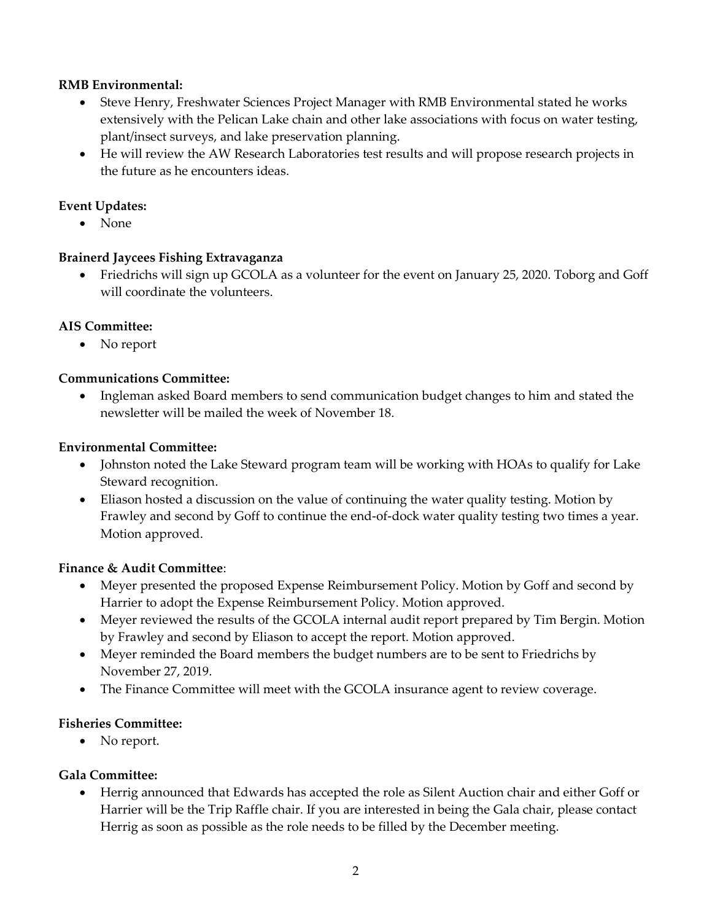### RMB Environmental:

- Steve Henry, Freshwater Sciences Project Manager with RMB Environmental stated he works extensively with the Pelican Lake chain and other lake associations with focus on water testing, plant/insect surveys, and lake preservation planning.
- He will review the AW Research Laboratories test results and will propose research projects in the future as he encounters ideas.

### Event Updates:

• None

## Brainerd Jaycees Fishing Extravaganza

 Friedrichs will sign up GCOLA as a volunteer for the event on January 25, 2020. Toborg and Goff will coordinate the volunteers.

## AIS Committee:

• No report

#### Communications Committee:

 Ingleman asked Board members to send communication budget changes to him and stated the newsletter will be mailed the week of November 18.

#### Environmental Committee:

- Johnston noted the Lake Steward program team will be working with HOAs to qualify for Lake Steward recognition.
- Eliason hosted a discussion on the value of continuing the water quality testing. Motion by Frawley and second by Goff to continue the end-of-dock water quality testing two times a year. Motion approved.

#### Finance & Audit Committee:

- Meyer presented the proposed Expense Reimbursement Policy. Motion by Goff and second by Harrier to adopt the Expense Reimbursement Policy. Motion approved.
- Meyer reviewed the results of the GCOLA internal audit report prepared by Tim Bergin. Motion by Frawley and second by Eliason to accept the report. Motion approved.
- Meyer reminded the Board members the budget numbers are to be sent to Friedrichs by November 27, 2019.
- The Finance Committee will meet with the GCOLA insurance agent to review coverage.

## Fisheries Committee:

• No report.

## Gala Committee:

 Herrig announced that Edwards has accepted the role as Silent Auction chair and either Goff or Harrier will be the Trip Raffle chair. If you are interested in being the Gala chair, please contact Herrig as soon as possible as the role needs to be filled by the December meeting.